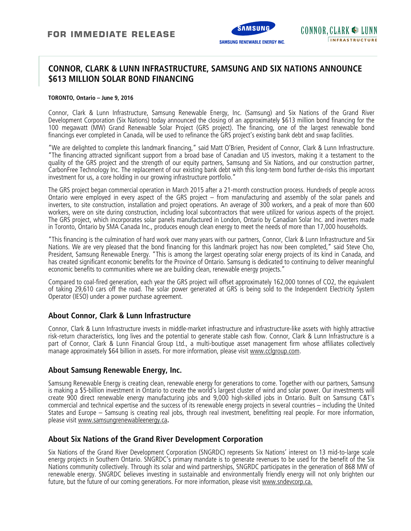

## **CONNOR, CLARK & LUNN INFRASTRUCTURE, SAMSUNG AND SIX NATIONS ANNOUNCE \$613 MILLION SOLAR BOND FINANCING**

#### **TORONTO, Ontario – June 9, 2016**

Connor, Clark & Lunn Infrastructure, Samsung Renewable Energy, Inc. (Samsung) and Six Nations of the Grand River Development Corporation (Six Nations) today announced the closing of an approximately \$613 million bond financing for the 100 megawatt (MW) Grand Renewable Solar Project (GRS project). The financing, one of the largest renewable bond financings ever completed in Canada, will be used to refinance the GRS project's existing bank debt and swap facilities.

"We are delighted to complete this landmark financing," said Matt O'Brien, President of Connor, Clark & Lunn Infrastructure. "The financing attracted significant support from a broad base of Canadian and US investors, making it a testament to the quality of the GRS project and the strength of our equity partners, Samsung and Six Nations, and our construction partner, CarbonFree Technology Inc. The replacement of our existing bank debt with this long-term bond further de-risks this important investment for us, a core holding in our growing infrastructure portfolio."

The GRS project began commercial operation in March 2015 after a 21-month construction process. Hundreds of people across Ontario were employed in every aspect of the GRS project – from manufacturing and assembly of the solar panels and inverters, to site construction, installation and project operations. An average of 300 workers, and a peak of more than 600 workers, were on site during construction, including local subcontractors that were utilized for various aspects of the project. The GRS project, which incorporates solar panels manufactured in London, Ontario by Canadian Solar Inc. and inverters made in Toronto, Ontario by SMA Canada Inc., produces enough clean energy to meet the needs of more than 17,000 households.

"This financing is the culmination of hard work over many years with our partners, Connor, Clark & Lunn Infrastructure and Six Nations. We are very pleased that the bond financing for this landmark project has now been completed," said Steve Cho, President, Samsung Renewable Energy. "This is among the largest operating solar energy projects of its kind in Canada, and has created significant economic benefits for the Province of Ontario. Samsung is dedicated to continuing to deliver meaningful economic benefits to communities where we are building clean, renewable energy projects."

Compared to coal-fired generation, each year the GRS project will offset approximately 162,000 tonnes of CO2, the equivalent of taking 29,610 cars off the road. The solar power generated at GRS is being sold to the Independent Electricity System Operator (IESO) under a power purchase agreement.

## **About Connor, Clark & Lunn Infrastructure**

Connor, Clark & Lunn Infrastructure invests in middle-market infrastructure and infrastructure-like assets with highly attractive risk-return characteristics, long lives and the potential to generate stable cash flow. Connor, Clark & Lunn Infrastructure is a part of Connor, Clark & Lunn Financial Group Ltd., a multi-boutique asset management firm whose affiliates collectively manage approximately \$64 billion in assets. For more information, please visit www.cclgroup.com.

### **About Samsung Renewable Energy, Inc.**

Samsung Renewable Energy is creating clean, renewable energy for generations to come. Together with our partners, Samsung is making a \$5-billion investment in Ontario to create the world's largest cluster of wind and solar power. Our investments will create 900 direct renewable energy manufacturing jobs and 9,000 high-skilled jobs in Ontario. Built on Samsung C&T's commercial and technical expertise and the success of its renewable energy projects in several countries – including the United States and Europe – Samsung is creating real jobs, through real investment, benefitting real people. For more information, please visit www.samsungrenewableenergy.ca**.** 

### **About Six Nations of the Grand River Development Corporation**

Six Nations of the Grand River Development Corporation (SNGRDC) represents Six Nations' interest on 13 mid-to-large scale energy projects in Southern Ontario. SNGRDC's primary mandate is to generate revenues to be used for the benefit of the Six Nations community collectively. Through its solar and wind partnerships, SNGRDC participates in the generation of 868 MW of renewable energy. SNGRDC believes investing in sustainable and environmentally friendly energy will not only brighten our future, but the future of our coming generations. For more information, please visit www.sndevcorp.ca.